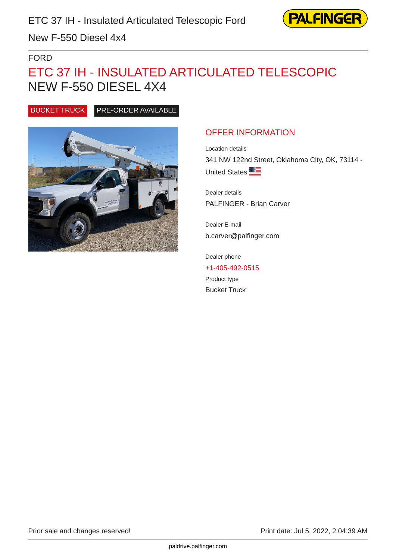

New F-550 Diesel 4x4

### FORD

# ETC 37 IH - INSULATED ARTICULATED TELESCOPIC NEW F-550 DIESEL 4X4

BUCKET TRUCK PRE-ORDER AVAILABLE



# OFFER INFORMATION

Location details 341 NW 122nd Street, Oklahoma City, OK, 73114 - United States

Dealer details PALFINGER - Brian Carver

Dealer E-mail b.carver@palfinger.com

Dealer phone [+1-405-492-0515](tel:+1-405-492-0515) Product type Bucket Truck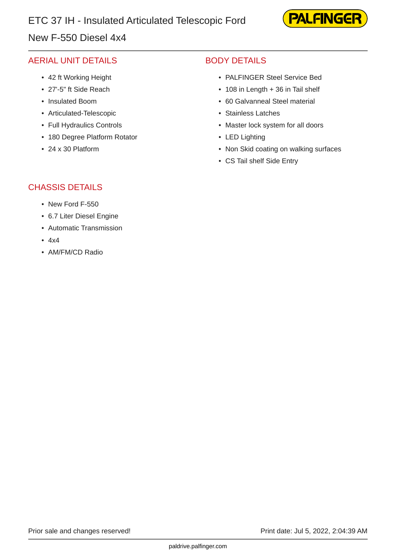# New F-550 Diesel 4x4

# **PALFINGEF**

# AERIAL UNIT DETAILS

- 42 ft Working Height
- 27'-5" ft Side Reach
- Insulated Boom
- Articulated-Telescopic
- Full Hydraulics Controls
- 180 Degree Platform Rotator
- 24 x 30 Platform

# BODY DETAILS

- PALFINGER Steel Service Bed
- 108 in Length + 36 in Tail shelf
- 60 Galvanneal Steel material
- Stainless Latches
- Master lock system for all doors
- LED Lighting
- Non Skid coating on walking surfaces
- CS Tail shelf Side Entry

### CHASSIS DETAILS

- New Ford F-550
- 6.7 Liter Diesel Engine
- Automatic Transmission
- 4x4
- AM/FM/CD Radio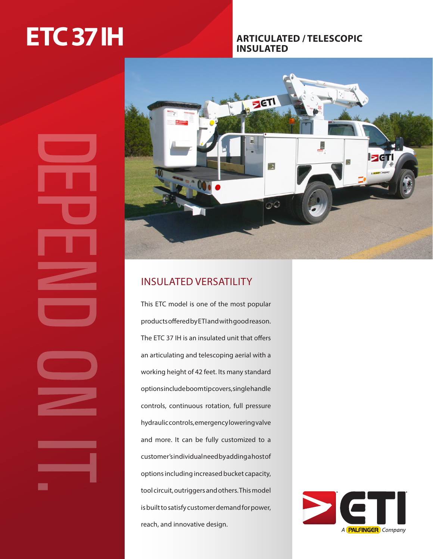# **ETC 37 IH ARTICULATED / TELESCOPIC**

# **INSULATED**





# INSULATED VERSATILITY

This ETC model is one of the most popular products offered by ETI and with good reason. The ETC 37 IH is an insulated unit that offers an articulating and telescoping aerial with a working height of 42 feet. Its many standard options include boom tip covers, single handle controls, continuous rotation, full pressure hydraulic controls, emergency lowering valve and more. It can be fully customized to a customer's individual need by adding a host of options including increased bucket capacity, tool circuit, outriggers and others. This model is built to satisfy customer demand for power, reach, and innovative design.